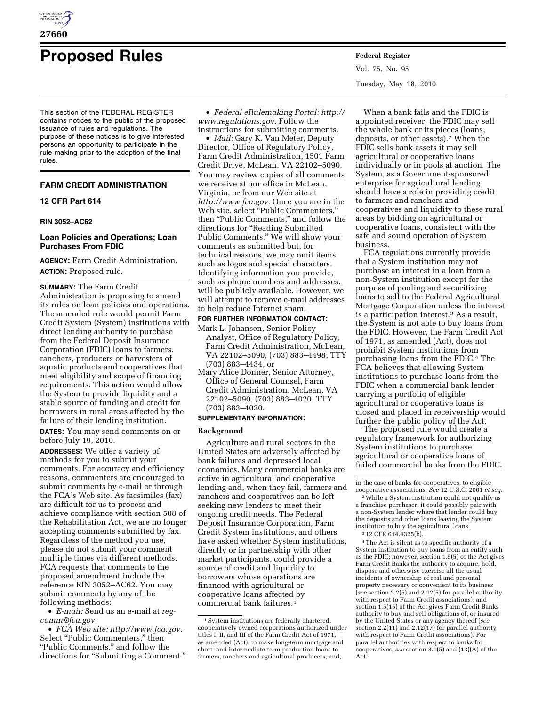

# **Proposed Rules Federal Register**

This section of the FEDERAL REGISTER contains notices to the public of the proposed issuance of rules and regulations. The purpose of these notices is to give interested persons an opportunity to participate in the rule making prior to the adoption of the final rules.

## **FARM CREDIT ADMINISTRATION**

## **12 CFR Part 614**

#### **RIN 3052–AC62**

## **Loan Policies and Operations; Loan Purchases From FDIC**

**AGENCY:** Farm Credit Administration. **ACTION:** Proposed rule.

## **SUMMARY:** The Farm Credit

Administration is proposing to amend its rules on loan policies and operations. The amended rule would permit Farm Credit System (System) institutions with direct lending authority to purchase from the Federal Deposit Insurance Corporation (FDIC) loans to farmers, ranchers, producers or harvesters of aquatic products and cooperatives that meet eligibility and scope of financing requirements. This action would allow the System to provide liquidity and a stable source of funding and credit for borrowers in rural areas affected by the failure of their lending institution.

**DATES:** You may send comments on or before July 19, 2010.

**ADDRESSES:** We offer a variety of methods for you to submit your comments. For accuracy and efficiency reasons, commenters are encouraged to submit comments by e-mail or through the FCA's Web site. As facsimiles (fax) are difficult for us to process and achieve compliance with section 508 of the Rehabilitation Act, we are no longer accepting comments submitted by fax. Regardless of the method you use, please do not submit your comment multiple times via different methods. FCA requests that comments to the proposed amendment include the reference RIN 3052–AC62. You may submit comments by any of the following methods:

• *E-mail:* Send us an e-mail at *regcomm@fca.gov.* 

• *FCA Web site: http://www.fca.gov.*  Select "Public Commenters," then ''Public Comments,'' and follow the directions for "Submitting a Comment."

• *Federal eRulemaking Portal: http:// www.regulations.gov.* Follow the instructions for submitting comments.

• *Mail:* Gary K. Van Meter, Deputy Director, Office of Regulatory Policy, Farm Credit Administration, 1501 Farm Credit Drive, McLean, VA 22102–5090. You may review copies of all comments we receive at our office in McLean, Virginia, or from our Web site at *http://www.fca.gov.* Once you are in the Web site, select ''Public Commenters,'' then ''Public Comments,'' and follow the directions for ''Reading Submitted Public Comments.'' We will show your comments as submitted but, for technical reasons, we may omit items such as logos and special characters. Identifying information you provide, such as phone numbers and addresses, will be publicly available. However, we will attempt to remove e-mail addresses to help reduce Internet spam.

#### **FOR FURTHER INFORMATION CONTACT:**

Mark L. Johansen, Senior Policy Analyst, Office of Regulatory Policy, Farm Credit Administration, McLean, VA 22102–5090, (703) 883–4498, TTY (703) 883–4434, or

Mary Alice Donner, Senior Attorney, Office of General Counsel, Farm Credit Administration, McLean, VA 22102–5090, (703) 883–4020, TTY (703) 883–4020.

## **SUPPLEMENTARY INFORMATION:**

#### **Background**

Agriculture and rural sectors in the United States are adversely affected by bank failures and depressed local economies. Many commercial banks are active in agricultural and cooperative lending and, when they fail, farmers and ranchers and cooperatives can be left seeking new lenders to meet their ongoing credit needs. The Federal Deposit Insurance Corporation, Farm Credit System institutions, and others have asked whether System institutions, directly or in partnership with other market participants, could provide a source of credit and liquidity to borrowers whose operations are financed with agricultural or cooperative loans affected by commercial bank failures.1

Vol. 75, No. 95 Tuesday, May 18, 2010

When a bank fails and the FDIC is appointed receiver, the FDIC may sell the whole bank or its pieces (loans, deposits, or other assets).2 When the FDIC sells bank assets it may sell agricultural or cooperative loans individually or in pools at auction. The System, as a Government-sponsored enterprise for agricultural lending, should have a role in providing credit to farmers and ranchers and cooperatives and liquidity to these rural areas by bidding on agricultural or cooperative loans, consistent with the safe and sound operation of System business.

FCA regulations currently provide that a System institution may not purchase an interest in a loan from a non-System institution except for the purpose of pooling and securitizing loans to sell to the Federal Agricultural Mortgage Corporation unless the interest is a participation interest.3 As a result, the System is not able to buy loans from the FDIC. However, the Farm Credit Act of 1971, as amended (Act), does not prohibit System institutions from purchasing loans from the FDIC.4 The FCA believes that allowing System institutions to purchase loans from the FDIC when a commercial bank lender carrying a portfolio of eligible agricultural or cooperative loans is closed and placed in receivership would further the public policy of the Act.

The proposed rule would create a regulatory framework for authorizing System institutions to purchase agricultural or cooperative loans of failed commercial banks from the FDIC.

4The Act is silent as to specific authority of a System institution to buy loans from an entity such as the FDIC; however, section 1.5(5) of the Act gives Farm Credit Banks the authority to acquire, hold, dispose and otherwise exercise all the usual incidents of ownership of real and personal property necessary or convenient to its business (*see* section 2.2(5) and 2.12(5) for parallel authority with respect to Farm Credit associations); and section 1.5(15) of the Act gives Farm Credit Banks authority to buy and sell obligations of, or insured by the United States or any agency thereof (*see*  section 2.2(11) and 2.12(17) for parallel authority with respect to Farm Credit associations). For parallel authorities with respect to banks for cooperatives, *see* section 3.1(5) and (13)(A) of the Act.

<sup>&</sup>lt;sup>1</sup> System institutions are federally chartered, cooperatively owned corporations authorized under titles I, II, and III of the Farm Credit Act of 1971, as amended (Act), to make long-term mortgage and short- and intermediate-term production loans to farmers, ranchers and agricultural producers, and,

in the case of banks for cooperatives, to eligible cooperative associations. *See* 12 U.S.C. 2001 *et seq.* 

<sup>2</sup>While a System institution could not qualify as a franchise purchaser, it could possibly pair with a non-System lender where that lender could buy the deposits and other loans leaving the System institution to buy the agricultural loans.

<sup>3</sup> 12 CFR 614.4325(b).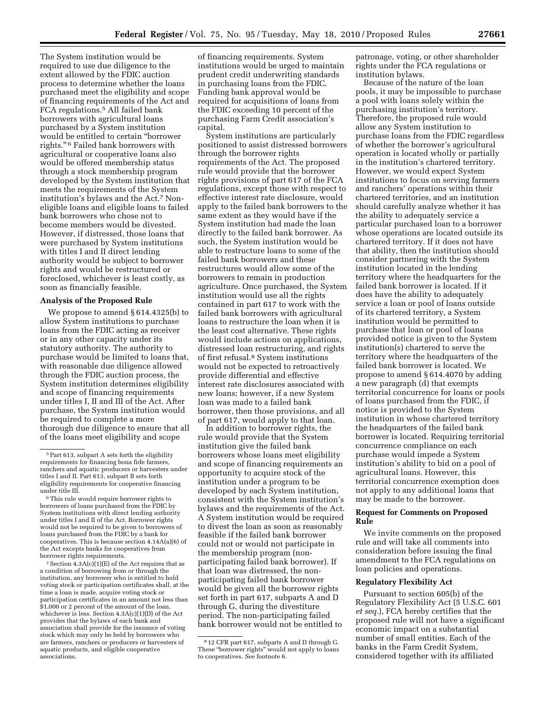The System institution would be required to use due diligence to the extent allowed by the FDIC auction process to determine whether the loans purchased meet the eligibility and scope of financing requirements of the Act and FCA regulations.5 All failed bank borrowers with agricultural loans purchased by a System institution would be entitled to certain ''borrower rights."<sup>6</sup> Failed bank borrowers with agricultural or cooperative loans also would be offered membership status through a stock membership program developed by the System institution that meets the requirements of the System institution's bylaws and the Act.7 Noneligible loans and eligible loans to failed bank borrowers who chose not to become members would be divested. However, if distressed, those loans that were purchased by System institutions with titles I and II direct lending authority would be subject to borrower rights and would be restructured or foreclosed, whichever is least costly, as soon as financially feasible.

## **Analysis of the Proposed Rule**

We propose to amend § 614.4325(b) to allow System institutions to purchase loans from the FDIC acting as receiver or in any other capacity under its statutory authority. The authority to purchase would be limited to loans that, with reasonable due diligence allowed through the FDIC auction process, the System institution determines eligibility and scope of financing requirements under titles I, II and III of the Act. After purchase, the System institution would be required to complete a more thorough due diligence to ensure that all of the loans meet eligibility and scope

 $7$  Section  $4.3A(c)(1)(E)$  of the Act requires that as a condition of borrowing from or through the institution, any borrower who is entitled to hold voting stock or participation certificates shall, at the time a loan is made, acquire voting stock or participation certificates in an amount not less than \$1,000 or 2 percent of the amount of the loan, whichever is less. Section 4.3A(c)(1)(D) of the Act provides that the bylaws of each bank and association shall provide for the issuance of voting stock which may only be held by borrowers who are farmers, ranchers or producers or harvesters of aquatic products, and eligible cooperative associations.

of financing requirements. System institutions would be urged to maintain prudent credit underwriting standards in purchasing loans from the FDIC. Funding bank approval would be required for acquisitions of loans from the FDIC exceeding 10 percent of the purchasing Farm Credit association's capital.

System institutions are particularly positioned to assist distressed borrowers through the borrower rights requirements of the Act. The proposed rule would provide that the borrower rights provisions of part 617 of the FCA regulations, except those with respect to effective interest rate disclosure, would apply to the failed bank borrowers to the same extent as they would have if the System institution had made the loan directly to the failed bank borrower. As such, the System institution would be able to restructure loans to some of the failed bank borrowers and these restructures would allow some of the borrowers to remain in production agriculture. Once purchased, the System institution would use all the rights contained in part 617 to work with the failed bank borrowers with agricultural loans to restructure the loan when it is the least cost alternative. These rights would include actions on applications, distressed loan restructuring, and rights of first refusal.8 System institutions would not be expected to retroactively provide differential and effective interest rate disclosures associated with new loans; however, if a new System loan was made to a failed bank borrower, then those provisions, and all of part 617, would apply to that loan.

In addition to borrower rights, the rule would provide that the System institution give the failed bank borrowers whose loans meet eligibility and scope of financing requirements an opportunity to acquire stock of the institution under a program to be developed by each System institution, consistent with the System institution's bylaws and the requirements of the Act. A System institution would be required to divest the loan as soon as reasonably feasible if the failed bank borrower could not or would not participate in the membership program (nonparticipating failed bank borrower). If that loan was distressed, the nonparticipating failed bank borrower would be given all the borrower rights set forth in part 617, subparts A and D through G, during the divestiture period. The non-participating failed bank borrower would not be entitled to

patronage, voting, or other shareholder rights under the FCA regulations or institution bylaws.

Because of the nature of the loan pools, it may be impossible to purchase a pool with loans solely within the purchasing institution's territory. Therefore, the proposed rule would allow any System institution to purchase loans from the FDIC regardless of whether the borrower's agricultural operation is located wholly or partially in the institution's chartered territory. However, we would expect System institutions to focus on serving farmers and ranchers' operations within their chartered territories, and an institution should carefully analyze whether it has the ability to adequately service a particular purchased loan to a borrower whose operations are located outside its chartered territory. If it does not have that ability, then the institution should consider partnering with the System institution located in the lending territory where the headquarters for the failed bank borrower is located. If it does have the ability to adequately service a loan or pool of loans outside of its chartered territory, a System institution would be permitted to purchase that loan or pool of loans provided notice is given to the System institution(s) chartered to serve the territory where the headquarters of the failed bank borrower is located. We propose to amend § 614.4070 by adding a new paragraph (d) that exempts territorial concurrence for loans or pools of loans purchased from the FDIC, if notice is provided to the System institution in whose chartered territory the headquarters of the failed bank borrower is located. Requiring territorial concurrence compliance on each purchase would impede a System institution's ability to bid on a pool of agricultural loans. However, this territorial concurrence exemption does not apply to any additional loans that may be made to the borrower.

## **Request for Comments on Proposed Rule**

We invite comments on the proposed rule and will take all comments into consideration before issuing the final amendment to the FCA regulations on loan policies and operations.

## **Regulatory Flexibility Act**

Pursuant to section 605(b) of the Regulatory Flexibility Act (5 U.S.C. 601 *et seq.*), FCA hereby certifies that the proposed rule will not have a significant economic impact on a substantial number of small entities. Each of the banks in the Farm Credit System, considered together with its affiliated

<sup>5</sup>Part 613, subpart A sets forth the eligibility requirements for financing bona fide farmers, ranchers and aquatic producers or harvesters under titles I and II. Part 613, subpart B sets forth eligibility requirements for cooperative financing under title III.

<sup>6</sup>This rule would require borrower rights to borrowers of loans purchased from the FDIC by System institutions with direct lending authority under titles I and II of the Act. Borrower rights would not be required to be given to borrowers of loans purchased from the FDIC by a bank for cooperatives. This is because section 4.14A(a)(6) of the Act excepts banks for cooperatives from borrower rights requirements.

<sup>8</sup> 12 CFR part 617, subparts A and D through G. These "borrower rights" would not apply to loans to cooperatives. *See* footnote 6.